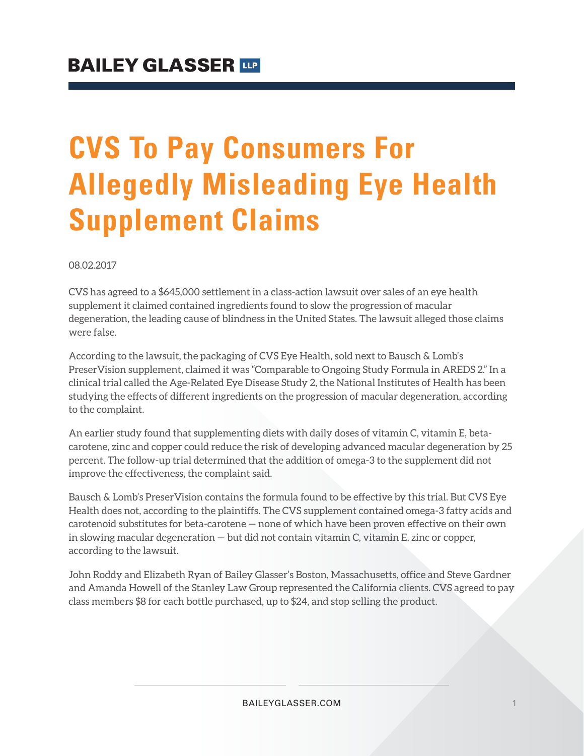## **CVS To Pay Consumers For Allegedly Misleading Eye Health Supplement Claims**

08.02.2017

CVS has agreed to a \$645,000 settlement in a class-action lawsuit over sales of an eye health supplement it claimed contained ingredients found to slow the progression of macular degeneration, the leading cause of blindness in the United States. The lawsuit alleged those claims were false.

According to the lawsuit, the packaging of CVS Eye Health, sold next to Bausch & Lomb's PreserVision supplement, claimed it was "Comparable to Ongoing Study Formula in AREDS 2." In a clinical trial called the Age-Related Eye Disease Study 2, the National Institutes of Health has been studying the effects of different ingredients on the progression of macular degeneration, according to the complaint.

An earlier study found that supplementing diets with daily doses of vitamin C, vitamin E, betacarotene, zinc and copper could reduce the risk of developing advanced macular degeneration by 25 percent. The follow-up trial determined that the addition of omega-3 to the supplement did not improve the effectiveness, the complaint said.

Bausch & Lomb's PreserVision contains the formula found to be effective by this trial. But CVS Eye Health does not, according to the plaintiffs. The CVS supplement contained omega-3 fatty acids and carotenoid substitutes for beta-carotene — none of which have been proven effective on their own in slowing macular degeneration — but did not contain vitamin C, vitamin E, zinc or copper, according to the lawsuit.

John Roddy and Elizabeth Ryan of Bailey Glasser's Boston, Massachusetts, office and Steve Gardner and Amanda Howell of the Stanley Law Group represented the California clients. CVS agreed to pay class members \$8 for each bottle purchased, up to \$24, and stop selling the product.